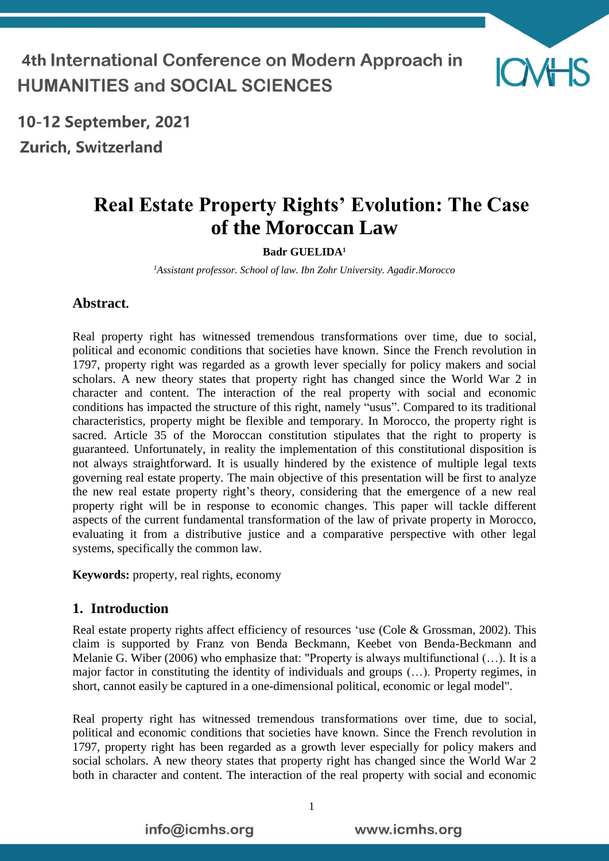4th International Conference on Modern Approach in **HUMANITIES and SOCIAL SCIENCES** 



10-12 September, 2021 **Zurich, Switzerland** 

# **Real Estate Property Rights' Evolution: The Case of the Moroccan Law**

**Badr GUELIDA<sup>1</sup>**

*<sup>1</sup>Assistant professor. School of law. Ibn Zohr University. Agadir.Morocco*

#### **Abstract.**

Real property right has witnessed tremendous transformations over time, due to social, political and economic conditions that societies have known. Since the French revolution in 1797, property right was regarded as a growth lever specially for policy makers and social scholars. A new theory states that property right has changed since the World War 2 in character and content. The interaction of the real property with social and economic conditions has impacted the structure of this right, namely "usus". Compared to its traditional characteristics, property might be flexible and temporary. In Morocco, the property right is sacred. Article 35 of the Moroccan constitution stipulates that the right to property is guaranteed. Unfortunately, in reality the implementation of this constitutional disposition is not always straightforward. It is usually hindered by the existence of multiple legal texts governing real estate property. The main objective of this presentation will be first to analyze the new real estate property right's theory, considering that the emergence of a new real property right will be in response to economic changes. This paper will tackle different aspects of the current fundamental transformation of the law of private property in Morocco, evaluating it from a distributive justice and a comparative perspective with other legal systems, specifically the common law.

**Keywords:** property, real rights, economy

#### **1. Introduction**

Real estate property rights affect efficiency of resources 'use (Cole & Grossman, 2002). This claim is supported by Franz von Benda Beckmann, Keebet von Benda-Beckmann and Melanie G. Wiber (2006) who emphasize that: "Property is always multifunctional (…). It is a major factor in constituting the identity of individuals and groups (…). Property regimes, in short, cannot easily be captured in a one-dimensional political, economic or legal model".

Real property right has witnessed tremendous transformations over time, due to social, political and economic conditions that societies have known. Since the French revolution in 1797, property right has been regarded as a growth lever especially for policy makers and social scholars. A new theory states that property right has changed since the World War 2 both in character and content. The interaction of the real property with social and economic

info@icmhs.org

1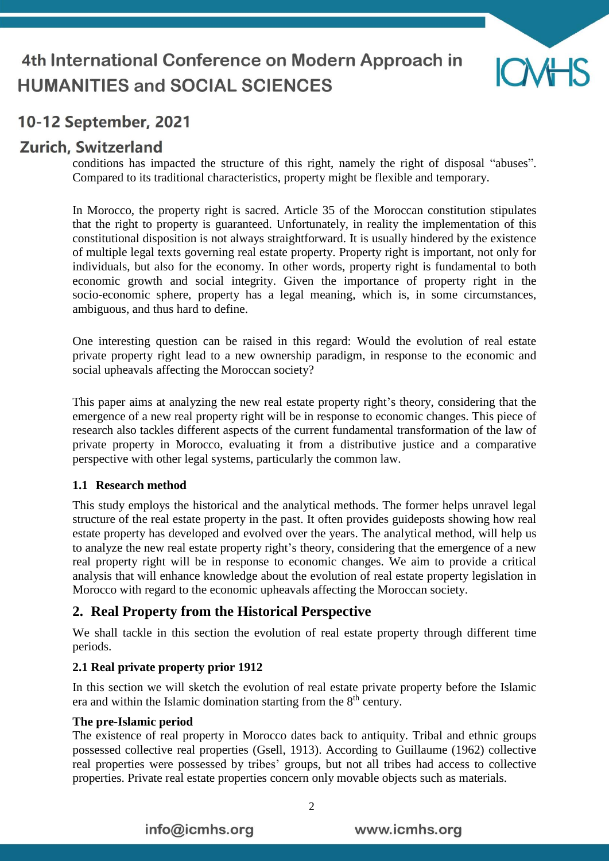

## **Zurich, Switzerland**

conditions has impacted the structure of this right, namely the right of disposal "abuses". Compared to its traditional characteristics, property might be flexible and temporary.

In Morocco, the property right is sacred. Article 35 of the Moroccan constitution stipulates that the right to property is guaranteed. Unfortunately, in reality the implementation of this constitutional disposition is not always straightforward. It is usually hindered by the existence of multiple legal texts governing real estate property. Property right is important, not only for individuals, but also for the economy. In other words, property right is fundamental to both economic growth and social integrity. Given the importance of property right in the socio-economic sphere, property has a legal meaning, which is, in some circumstances, ambiguous, and thus hard to define.

One interesting question can be raised in this regard: Would the evolution of real estate private property right lead to a new ownership paradigm, in response to the economic and social upheavals affecting the Moroccan society?

This paper aims at analyzing the new real estate property right's theory, considering that the emergence of a new real property right will be in response to economic changes. This piece of research also tackles different aspects of the current fundamental transformation of the law of private property in Morocco, evaluating it from a distributive justice and a comparative perspective with other legal systems, particularly the common law.

#### **1.1 Research method**

This study employs the historical and the analytical methods. The former helps unravel legal structure of the real estate property in the past. It often provides guideposts showing how real estate property has developed and evolved over the years. The analytical method, will help us to analyze the new real estate property right's theory, considering that the emergence of a new real property right will be in response to economic changes. We aim to provide a critical analysis that will enhance knowledge about the evolution of real estate property legislation in Morocco with regard to the economic upheavals affecting the Moroccan society.

### **2. Real Property from the Historical Perspective**

We shall tackle in this section the evolution of real estate property through different time periods.

#### **2.1 Real private property prior 1912**

In this section we will sketch the evolution of real estate private property before the Islamic era and within the Islamic domination starting from the 8<sup>th</sup> century.

#### **The pre-Islamic period**

The existence of real property in Morocco dates back to antiquity. Tribal and ethnic groups possessed collective real properties (Gsell, 1913). According to Guillaume (1962) collective real properties were possessed by tribes' groups, but not all tribes had access to collective properties. Private real estate properties concern only movable objects such as materials.

info@icmhs.org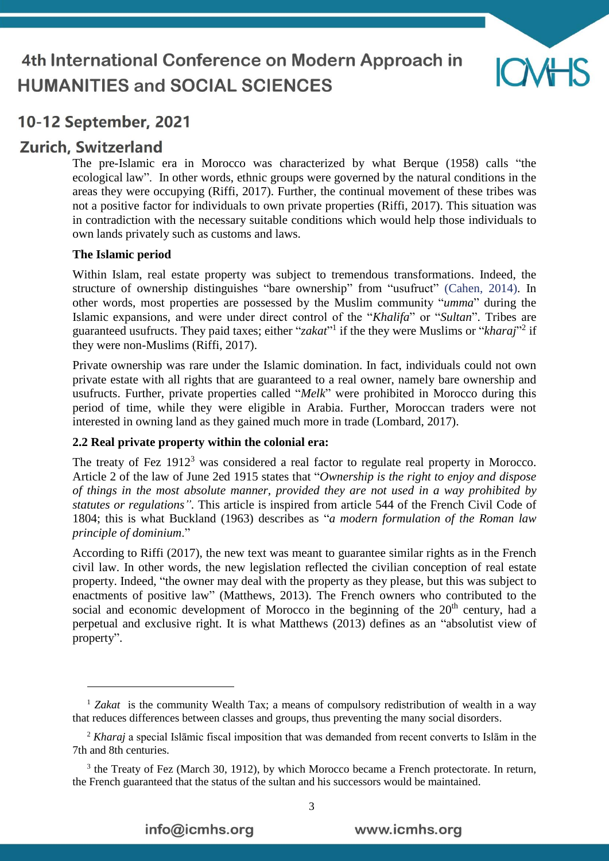

## **Zurich, Switzerland**

<u>.</u>

The pre-Islamic era in Morocco was characterized by what Berque (1958) calls "the ecological law". In other words, ethnic groups were governed by the natural conditions in the areas they were occupying (Riffi, 2017). Further, the continual movement of these tribes was not a positive factor for individuals to own private properties (Riffi, 2017). This situation was in contradiction with the necessary suitable conditions which would help those individuals to own lands privately such as customs and laws.

#### **The Islamic period**

Within Islam, real estate property was subject to tremendous transformations. Indeed, the structure of ownership distinguishes "bare ownership" from "usufruct" (Cahen, 2014). In other words, most properties are possessed by the Muslim community "*umma*" during the Islamic expansions, and were under direct control of the "*Khalifa*" or "*Sultan*". Tribes are guaranteed usufructs. They paid taxes; either "*zakat*" if the they were Muslims or "*kharaj*"<sup>2</sup> if they were non-Muslims (Riffi, 2017).

Private ownership was rare under the Islamic domination. In fact, individuals could not own private estate with all rights that are guaranteed to a real owner, namely bare ownership and usufructs. Further, private properties called "*Melk*" were prohibited in Morocco during this period of time, while they were eligible in Arabia. Further, Moroccan traders were not interested in owning land as they gained much more in trade (Lombard, 2017).

#### **2.2 Real private property within the colonial era:**

The treaty of Fez 1912<sup>3</sup> was considered a real factor to regulate real property in Morocco. Article 2 of the law of June 2ed 1915 states that "*Ownership is the right to enjoy and dispose of things in the most absolute manner, provided they are not used in a way prohibited by statutes or regulations".* This article is inspired from article 544 of the French Civil Code of 1804; this is what Buckland (1963) describes as "*a modern formulation of the Roman law principle of dominium*."

According to Riffi (2017), the new text was meant to guarantee similar rights as in the French civil law. In other words, the new legislation reflected the civilian conception of real estate property. Indeed, "the owner may deal with the property as they please, but this was subject to enactments of positive law" (Matthews, 2013). The French owners who contributed to the social and economic development of Morocco in the beginning of the  $20<sup>th</sup>$  century, had a perpetual and exclusive right. It is what Matthews (2013) defines as an "absolutist view of property".

<sup>&</sup>lt;sup>1</sup> Zakat is the community Wealth Tax; a means of compulsory redistribution of wealth in a way that reduces differences between classes and groups, thus preventing the many social disorders.

<sup>2</sup> *Kharaj* a special Islāmic fiscal imposition that was demanded from recent converts to Islām in the 7th and 8th centuries.

<sup>&</sup>lt;sup>3</sup> the Treaty of Fez (March 30, 1912), by which Morocco became a French protectorate. In return, the French guaranteed that the status of the sultan and his successors would be maintained.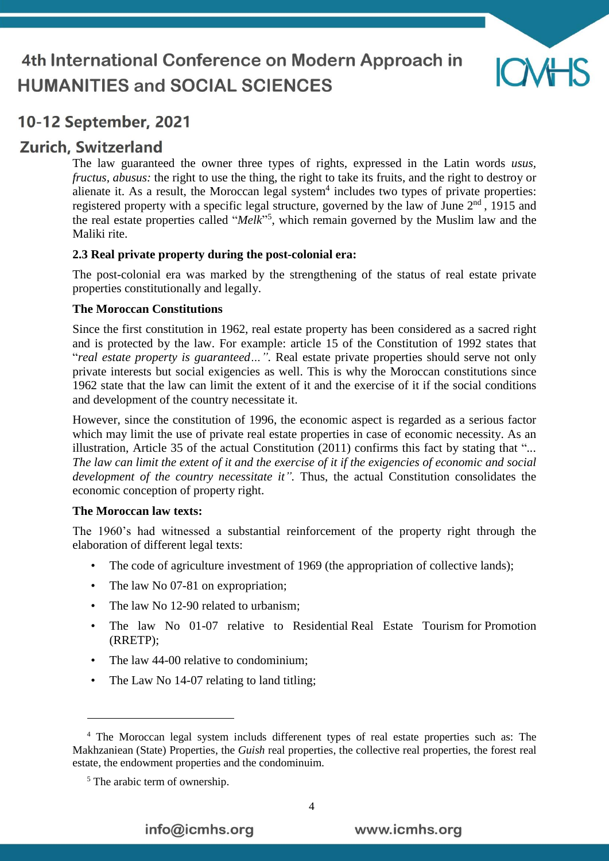

### **Zurich, Switzerland**

The law guaranteed the owner three types of rights, expressed in the Latin words *usus, fructus, abusus:* the right to use the thing, the right to take its fruits, and the right to destroy or alienate it. As a result, the Moroccan legal system<sup>4</sup> includes two types of private properties: registered property with a specific legal structure, governed by the law of June  $2<sup>nd</sup>$ , 1915 and the real estate properties called "*Melk*" 5 , which remain governed by the Muslim law and the Maliki rite.

#### **2.3 Real private property during the post-colonial era:**

The post-colonial era was marked by the strengthening of the status of real estate private properties constitutionally and legally.

#### **The Moroccan Constitutions**

Since the first constitution in 1962, real estate property has been considered as a sacred right and is protected by the law. For example: article 15 of the Constitution of 1992 states that "*real estate property is guaranteed…".* Real estate private properties should serve not only private interests but social exigencies as well. This is why the Moroccan constitutions since 1962 state that the law can limit the extent of it and the exercise of it if the social conditions and development of the country necessitate it.

However, since the constitution of 1996, the economic aspect is regarded as a serious factor which may limit the use of private real estate properties in case of economic necessity. As an illustration, Article 35 of the actual Constitution (2011) confirms this fact by stating that "*... The law can limit the extent of it and the exercise of it if the exigencies of economic and social development of the country necessitate it".* Thus, the actual Constitution consolidates the economic conception of property right.

#### **The Moroccan law texts:**

The 1960's had witnessed a substantial reinforcement of the property right through the elaboration of different legal texts:

- The code of agriculture investment of 1969 (the appropriation of collective lands);
- The law No 07-81 on expropriation;
- The law No 12-90 related to urbanism;
- The law No 01-07 relative to Residential Real Estate Tourism for Promotion (RRETP);
- The law 44-00 relative to condominium;
- The Law No 14-07 relating to land titling;

<u>.</u>

info@icmhs.org

<sup>4</sup> The Moroccan legal system includs differenent types of real estate properties such as: The Makhzaniean (State) Properties, the *Guish* real properties, the collective real properties, the forest real estate, the endowment properties and the condominuim.

<sup>5</sup> The arabic term of ownership.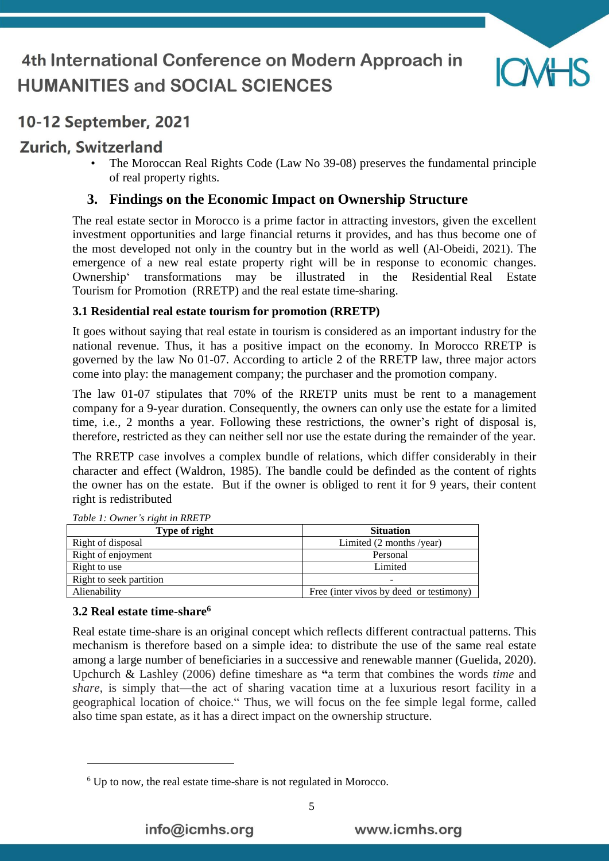

## **Zurich, Switzerland**

• The Moroccan Real Rights Code (Law No 39-08) preserves the fundamental principle of real property rights.

### **3. Findings on the Economic Impact on Ownership Structure**

The real estate sector in Morocco is a prime factor in attracting investors, given the excellent investment opportunities and large financial returns it provides, and has thus become one of the most developed not only in the country but in the world as well (Al-Obeidi, 2021). The emergence of a new real estate property right will be in response to economic changes. Ownership' transformations may be illustrated in the Residential Real Estate Tourism for Promotion (RRETP) and the real estate time-sharing.

#### **3.1 Residential real estate tourism for promotion (RRETP)**

It goes without saying that real estate in tourism is considered as an important industry for the national revenue. Thus, it has a positive impact on the economy. In Morocco RRETP is governed by the law No 01-07. According to article 2 of the RRETP law, three major actors come into play: the management company; the purchaser and the promotion company.

The law 01-07 stipulates that 70% of the RRETP units must be rent to a management company for a 9-year duration. Consequently, the owners can only use the estate for a limited time, i.e., 2 months a year. Following these restrictions, the owner's right of disposal is, therefore, restricted as they can neither sell nor use the estate during the remainder of the year.

The RRETP case involves a complex bundle of relations, which differ considerably in their character and effect (Waldron, 1985). The bandle could be definded as the content of rights the owner has on the estate. But if the owner is obliged to rent it for 9 years, their content right is redistributed

| Type of right           | <b>Situation</b>                        |  |
|-------------------------|-----------------------------------------|--|
| Right of disposal       | Limited $(2$ months /year)              |  |
| Right of enjoyment      | Personal                                |  |
| Right to use            | Limited                                 |  |
| Right to seek partition |                                         |  |
| Alienability            | Free (inter vivos by deed or testimony) |  |

*Table 1: Owner's right in RRETP*

#### **3.2 Real estate time-share<sup>6</sup>**

1

Real estate time-share is an original concept which reflects different contractual patterns. This mechanism is therefore based on a simple idea: to distribute the use of the same real estate among a large number of beneficiaries in a successive and renewable manner (Guelida, 2020). Upchurch & Lashley (2006) define timeshare as **"**a term that combines the words *time* and *share*, is simply that—the act of sharing vacation time at a luxurious resort facility in a geographical location of choice." Thus, we will focus on the fee simple legal forme, called also time span estate, as it has a direct impact on the ownership structure.

<sup>6</sup> Up to now, the real estate time-share is not regulated in Morocco.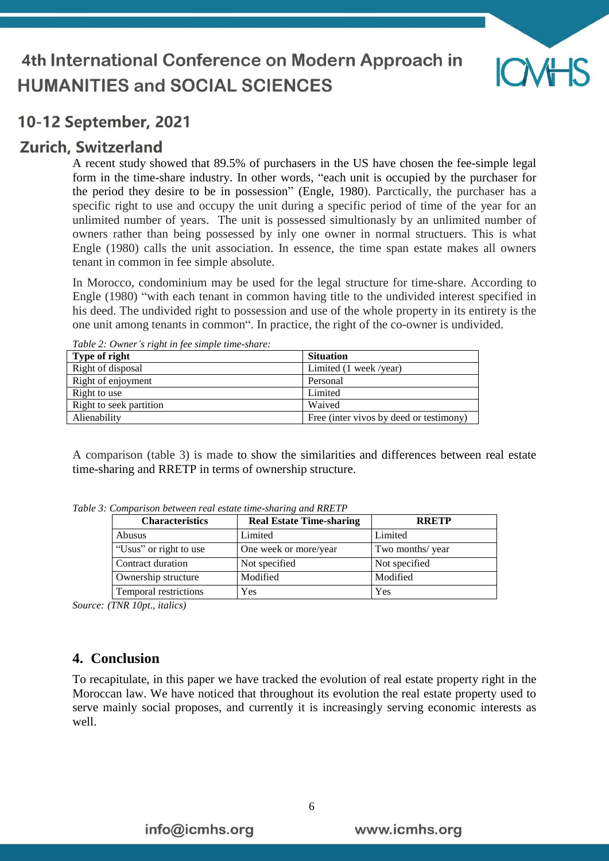

### **Zurich, Switzerland**

A recent study showed that 89.5% of purchasers in the US have chosen the fee-simple legal form in the time-share industry. In other words, "each unit is occupied by the purchaser for the period they desire to be in possession" (Engle, 1980). Parctically, the purchaser has a specific right to use and occupy the unit during a specific period of time of the year for an unlimited number of years. The unit is possessed simultionasly by an unlimited number of owners rather than being possessed by inly one owner in normal structuers. This is what Engle (1980) calls the unit association. In essence, the time span estate makes all owners tenant in common in fee simple absolute.

In Morocco, condominium may be used for the legal structure for time-share. According to Engle (1980) "with each tenant in common having title to the undivided interest specified in his deed. The undivided right to possession and use of the whole property in its entirety is the one unit among tenants in common". In practice, the right of the co-owner is undivided.

| Type of right           | <b>Situation</b>                        |  |
|-------------------------|-----------------------------------------|--|
| Right of disposal       | Limited (1 week/year)                   |  |
| Right of enjoyment      | Personal                                |  |
| Right to use            | Limited                                 |  |
| Right to seek partition | Waived                                  |  |
| Alienability            | Free (inter vivos by deed or testimony) |  |

*Table 2: Owner's right in fee simple time-share:*

A comparison (table 3) is made to show the similarities and differences between real estate time-sharing and RRETP in terms of ownership structure.

| <b>Characteristics</b> | <b>Real Estate Time-sharing</b> | <b>RRETP</b>     |
|------------------------|---------------------------------|------------------|
| Abusus                 | Limited                         | Limited          |
| "Usus" or right to use | One week or more/year           | Two months/ year |
| Contract duration      | Not specified                   | Not specified    |
| Ownership structure    | Modified                        | Modified         |
| Temporal restrictions  | Yes                             | Yes              |

*Table 3: Comparison between real estate time-sharing and RRETP*

*Source: (TNR 10pt., italics)*

#### **4. Conclusion**

To recapitulate, in this paper we have tracked the evolution of real estate property right in the Moroccan law. We have noticed that throughout its evolution the real estate property used to serve mainly social proposes, and currently it is increasingly serving economic interests as well.